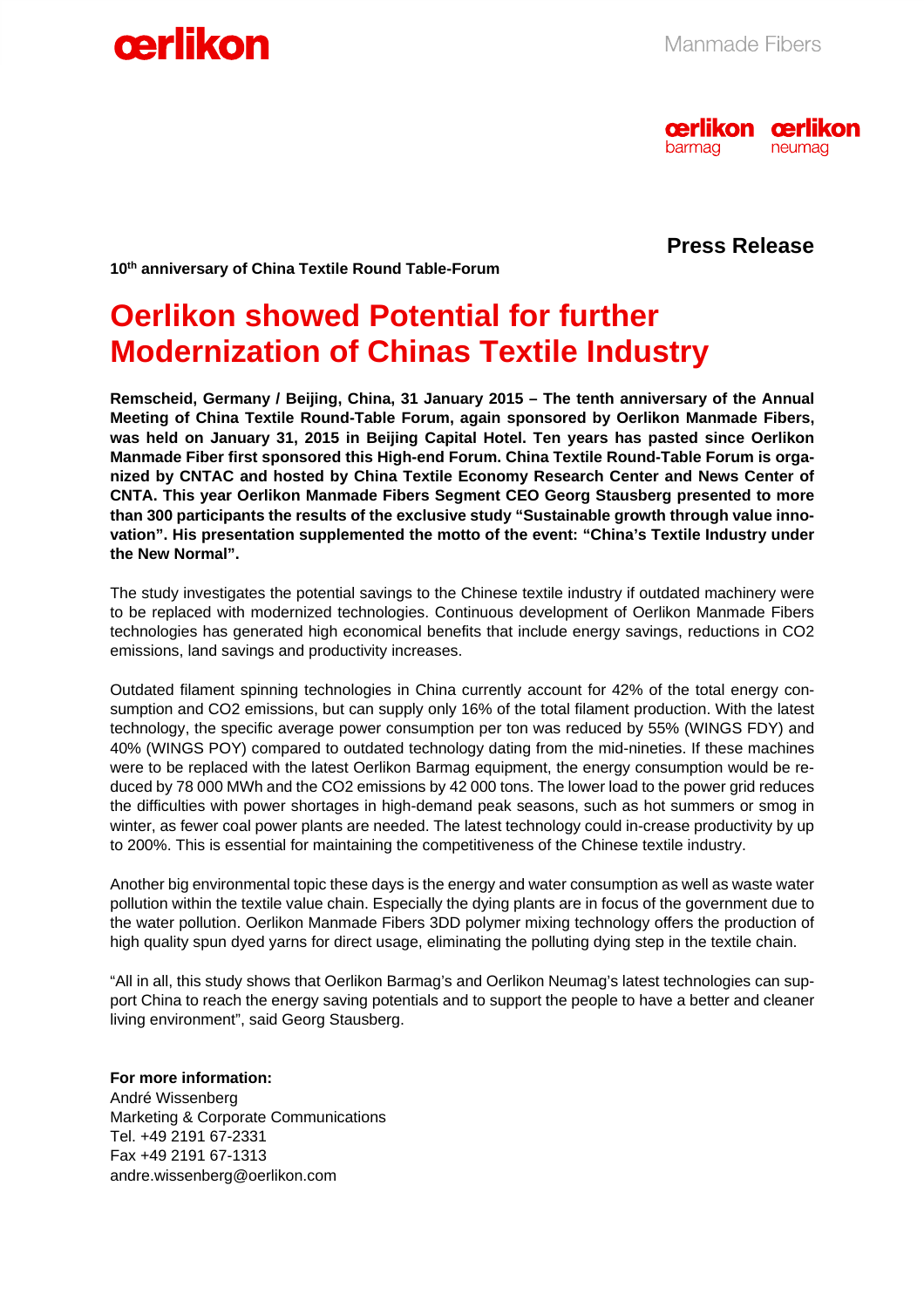



### **Press Release**

**10th anniversary of China Textile Round Table-Forum** 

## **Oerlikon showed Potential for further Modernization of Chinas Textile Industry**

**Remscheid, Germany / Beijing, China, 31 January 2015 – The tenth anniversary of the Annual Meeting of China Textile Round-Table Forum, again sponsored by Oerlikon Manmade Fibers, was held on January 31, 2015 in Beijing Capital Hotel. Ten years has pasted since Oerlikon Manmade Fiber first sponsored this High-end Forum. China Textile Round-Table Forum is organized by CNTAC and hosted by China Textile Economy Research Center and News Center of CNTA. This year Oerlikon Manmade Fibers Segment CEO Georg Stausberg presented to more than 300 participants the results of the exclusive study "Sustainable growth through value innovation". His presentation supplemented the motto of the event: "China's Textile Industry under the New Normal".**

The study investigates the potential savings to the Chinese textile industry if outdated machinery were to be replaced with modernized technologies. Continuous development of Oerlikon Manmade Fibers technologies has generated high economical benefits that include energy savings, reductions in CO2 emissions, land savings and productivity increases.

Outdated filament spinning technologies in China currently account for 42% of the total energy consumption and CO2 emissions, but can supply only 16% of the total filament production. With the latest technology, the specific average power consumption per ton was reduced by 55% (WINGS FDY) and 40% (WINGS POY) compared to outdated technology dating from the mid-nineties. If these machines were to be replaced with the latest Oerlikon Barmag equipment, the energy consumption would be reduced by 78 000 MWh and the CO2 emissions by 42 000 tons. The lower load to the power grid reduces the difficulties with power shortages in high-demand peak seasons, such as hot summers or smog in winter, as fewer coal power plants are needed. The latest technology could in-crease productivity by up to 200%. This is essential for maintaining the competitiveness of the Chinese textile industry.

Another big environmental topic these days is the energy and water consumption as well as waste water pollution within the textile value chain. Especially the dying plants are in focus of the government due to the water pollution. Oerlikon Manmade Fibers 3DD polymer mixing technology offers the production of high quality spun dyed yarns for direct usage, eliminating the polluting dying step in the textile chain.

"All in all, this study shows that Oerlikon Barmag's and Oerlikon Neumag's latest technologies can support China to reach the energy saving potentials and to support the people to have a better and cleaner living environment", said Georg Stausberg.

**For more information:**  André Wissenberg Marketing & Corporate Communications Tel. +49 2191 67-2331 Fax +49 2191 67-1313 andre.wissenberg@oerlikon.com